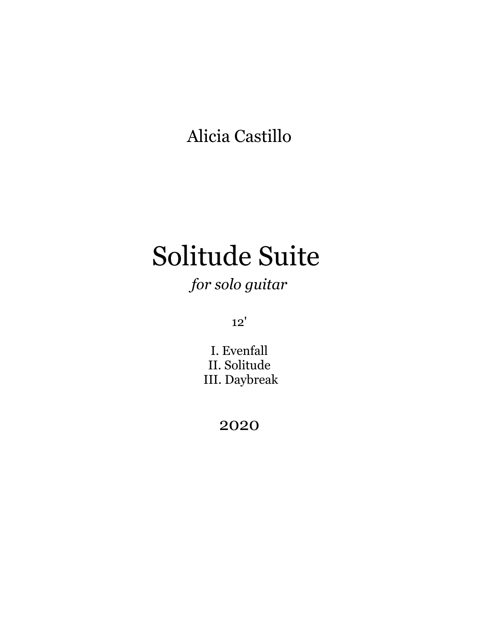Alicia Castillo

# Solitude Suite

## *for solo guitar*

12'

I. Evenfall II. Solitude III. Daybreak

2020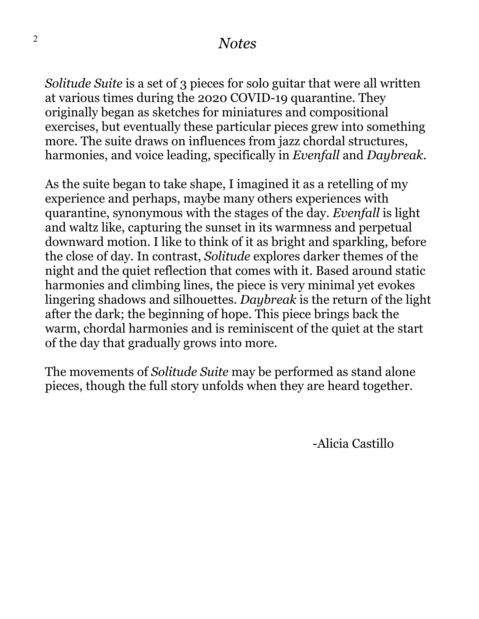#### *Notes*

*Solitude Suite* is a set of 3 pieces for solo guitar that were all written at various times during the 2020 COVID-19 quarantine. They originally began as sketches for miniatures and compositional exercises, but eventually these particular pieces grew into something more. The suite draws on influences from jazz chordal structures, harmonies, and voice leading, specifically in *Evenfall* and *Daybreak*.

As the suite began to take shape, I imagined it as a retelling of my experience and perhaps, maybe many others experiences with quarantine, synonymous with the stages of the day. *Evenfall* is light and waltz like, capturing the sunset in its warmness and perpetual downward motion. I like to think of it as bright and sparkling, before the close of day. In contrast, *Solitude* explores darker themes of the night and the quiet reflection that comes with it. Based around static harmonies and climbing lines, the piece is very minimal yet evokes lingering shadows and silhouettes. *Daybreak* is the return of the light after the dark; the beginning of hope. This piece brings back the warm, chordal harmonies and is reminiscent of the quiet at the start of the day that gradually grows into more.

The movements of *Solitude Suite* may be performed as stand alone pieces, though the full story unfolds when they are heard together.

-Alicia Castillo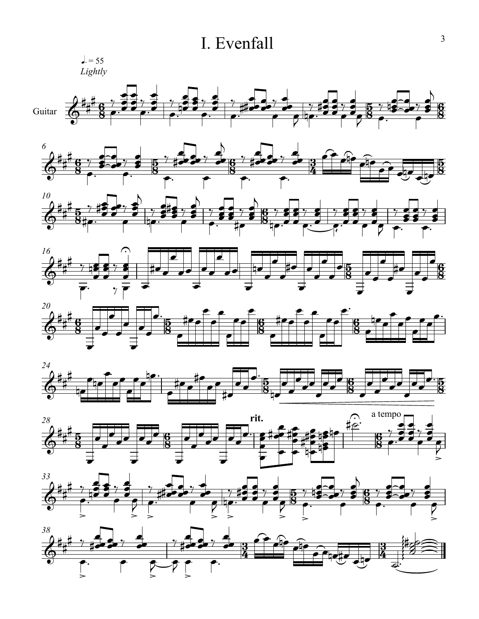### I. Evenfall





 $\overline{6}$ 

 $\frac{5}{2}$ 

 $\frac{6}{9}$ 

œ œ

 $\frac{5}{2}$ 

 $>$ 

 $\overline{e}$  $\sigma$ 

œ  $\mathcal{P}$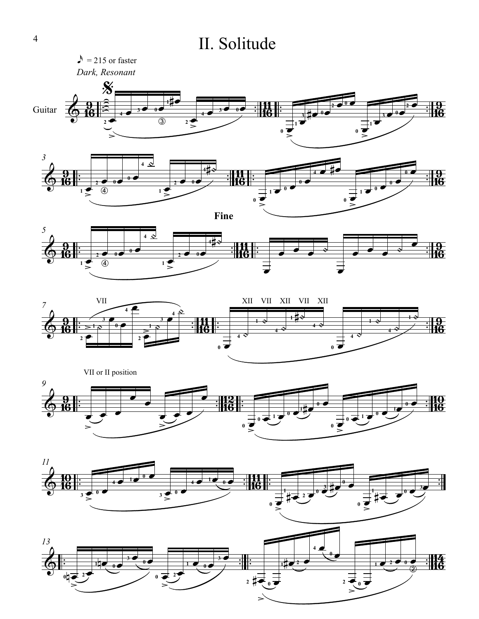## II. Solitude

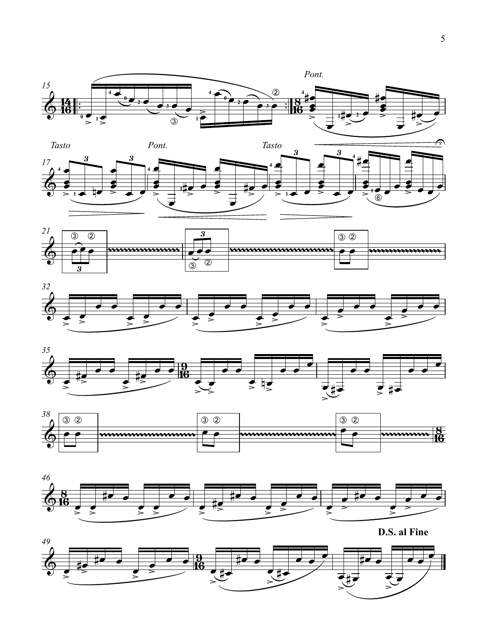













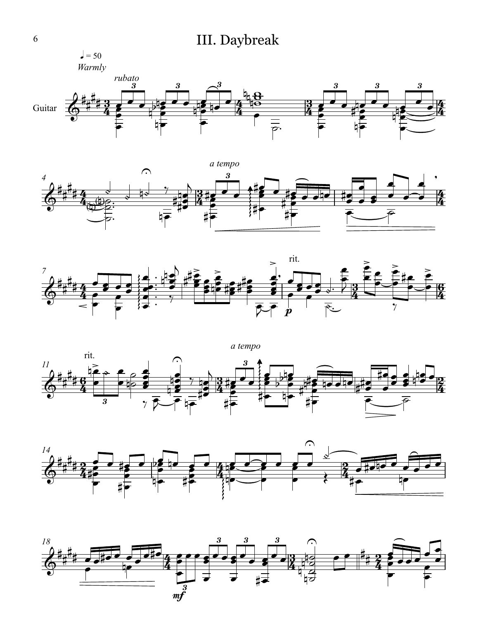